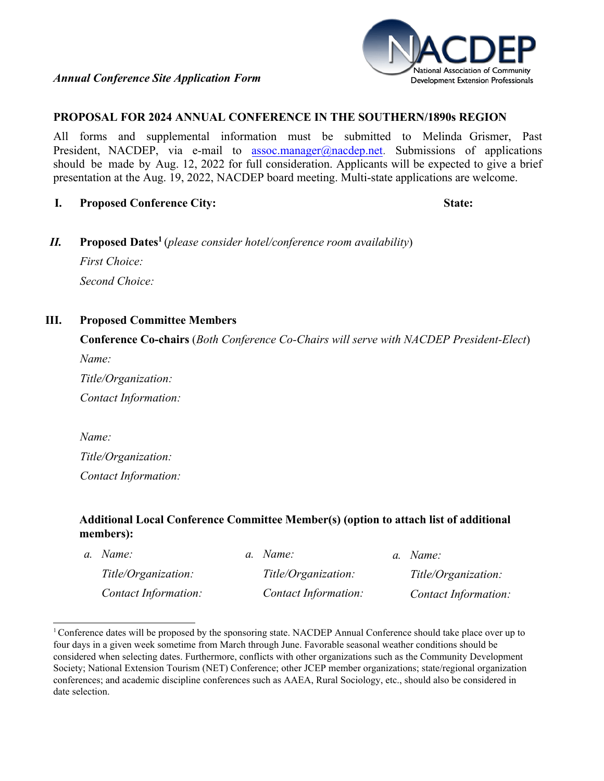

## **PROPOSAL FOR 2024 ANNUAL CONFERENCE IN THE SOUTHERN/1890s REGION**

All forms and supplemental information must be submitted to Melinda Grismer, Past President, NACDEP, via e-mail to [assoc.manager@nacdep.net](mailto:assoc.manager@nacdep.net). Submissions of applications should be made by Aug. 12, 2022 for full consideration. Applicants will be expected to give a brief presentation at the Aug. 19, 2022, NACDEP board meeting. Multi-state applications are welcome.

**I. Proposed Conference City: State:**

*II.* **Proposed Date[s1](#page-0-0)** (*please consider hotel/conference room availability*) *First Choice: Second Choice:*

## **III. Proposed Committee Members**

**Conference Co-chairs** (*Both Conference Co-Chairs will serve with NACDEP President-Elect*) *Name:*

*Title/Organization: Contact Information:*

*Name: Title/Organization: Contact Information:*

## **Additional Local Conference Committee Member(s) (option to attach list of additional members):**

| a. Name:                    | a. Name:             | a. Name:             |
|-----------------------------|----------------------|----------------------|
| Title/Organization:         | Title/Organization:  | Title/Organization:  |
| <b>Contact Information:</b> | Contact Information: | Contact Information: |

<span id="page-0-0"></span><sup>&</sup>lt;sup>1</sup> Conference dates will be proposed by the sponsoring state. NACDEP Annual Conference should take place over up to four days in a given week sometime from March through June. Favorable seasonal weather conditions should be considered when selecting dates. Furthermore, conflicts with other organizations such as the Community Development Society; National Extension Tourism (NET) Conference; other JCEP member organizations; state/regional organization conferences; and academic discipline conferences such as AAEA, Rural Sociology, etc., should also be considered in date selection.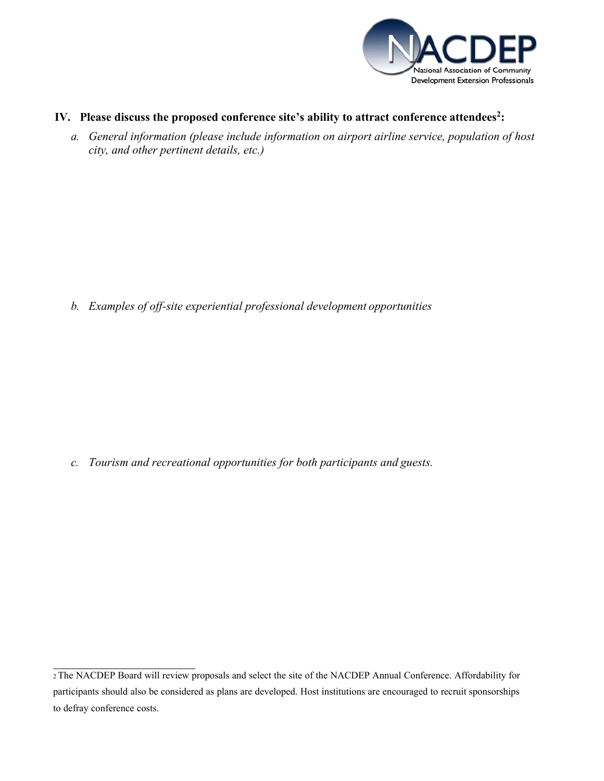

- **IV.** Please discuss the proposed conference site's ability to attract conference attendees<sup>2</sup>:
	- *a. General information (please include information on airport airline service, population of host city, and other pertinent details, etc.)*

*b. Examples of off-site experiential professional development opportunities*

*c. Tourism and recreational opportunities for both participants and guests.*

<span id="page-1-0"></span><sup>2</sup>The NACDEP Board will review proposals and select the site of the NACDEP Annual Conference. Affordability for participants should also be considered as plans are developed. Host institutions are encouraged to recruit sponsorships to defray conference costs.